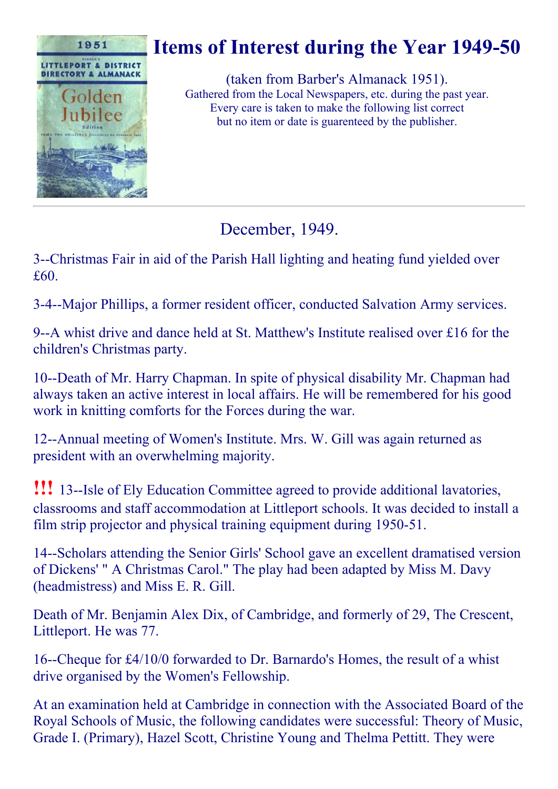

# Items of Interest during the Year 1949-50

(taken from Barber's Almanack 1951). Gathered from the Local Newspapers, etc. during the past year. Every care is taken to make the following list correct but no item or date is guarenteed by the publisher.

December, 1949.

3--Christmas Fair in aid of the Parish Hall lighting and heating fund yielded over £60.

3-4--Major Phillips, a former resident officer, conducted Salvation Army services.

9--A whist drive and dance held at St. Matthew's Institute realised over £16 for the children's Christmas party.

10--Death of Mr. Harry Chapman. In spite of physical disability Mr. Chapman had always taken an active interest in local affairs. He will be remembered for his good work in knitting comforts for the Forces during the war.

12--Annual meeting of Women's Institute. Mrs. W. Gill was again returned as president with an overwhelming majority.

**!!!** 13--Isle of Ely Education Committee agreed to provide additional lavatories, classrooms and staff accommodation at Littleport schools. It was decided to install a film strip projector and physical training equipment during 1950-51.

14--Scholars attending the Senior Girls' School gave an excellent dramatised version of Dickens' " A Christmas Carol." The play had been adapted by Miss M. Davy (headmistress) and Miss E. R. Gill.

Death of Mr. Benjamin Alex Dix, of Cambridge, and formerly of 29, The Crescent, Littleport. He was 77.

16--Cheque for  $\text{\textsterling}4/10/0$  forwarded to Dr. Barnardo's Homes, the result of a whist drive organised by the Women's Fellowship.

At an examination held at Cambridge in connection with the Associated Board of the Royal Schools of Music, the following candidates were successful: Theory of Music, Grade I. (Primary), Hazel Scott, Christine Young and Thelma Pettitt. They were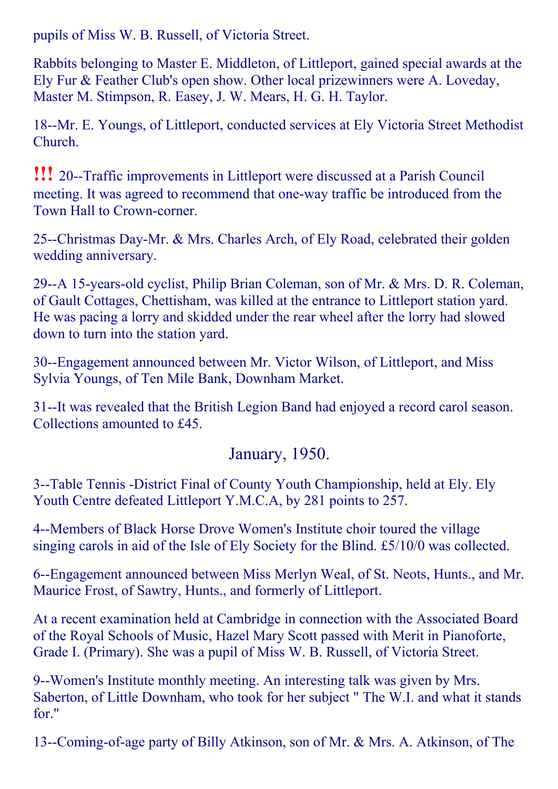pupils of Miss W. B. Russell, of Victoria Street.

Rabbits belonging to Master E. Middleton, of Littleport, gained special awards at the Ely Fur & Feather Club's open show. Other local prizewinners were A. Loveday, Master M. Stimpson, R. Easey, J. W. Mears, H. G. H. Taylor.

18--Mr. E. Youngs, of Littleport, conducted services at Ely Victoria Street Methodist Church.

**!!!** 20--Traffic improvements in Littleport were discussed at a Parish Council meeting. It was agreed to recommend that one-way traffic be introduced from the Town Hall to Crown-corner.

25--Christmas Day-Mr. & Mrs. Charles Arch, of Ely Road, celebrated their golden wedding anniversary.

29--A 15-years-old cyclist, Philip Brian Coleman, son of Mr. & Mrs. D. R. Coleman, of Gault Cottages, Chettisham, was killed at the entrance to Littleport station yard. He was pacing a lorry and skidded under the rear wheel after the lorry had slowed down to turn into the station yard.

30--Engagement announced between Mr. Victor Wilson, of Littleport, and Miss Sylvia Youngs, of Ten Mile Bank, Downham Market.

31--It was revealed that the British Legion Band had enjoyed a record carol season. Collections amounted to £45.

#### January, 1950.

3--Table Tennis -District Final of County Youth Championship, held at Ely. Ely Youth Centre defeated Littleport Y.M.C.A, by 281 points to 257.

4--Members of Black Horse Drove Women's Institute choir toured the village singing carols in aid of the Isle of Ely Society for the Blind. £5/10/0 was collected.

6--Engagement announced between Miss Merlyn Weal, of St. Neots, Hunts., and Mr. Maurice Frost, of Sawtry, Hunts., and formerly of Littleport.

At a recent examination held at Cambridge in connection with the Associated Board of the Royal Schools of Music, Hazel Mary Scott passed with Merit in Pianoforte, Grade I. (Primary). She was a pupil of Miss W. B. Russell, of Victoria Street.

9--Women's Institute monthly meeting. An interesting talk was given by Mrs. Saberton, of Little Downham, who took for her subject " The W.I. and what it stands for."

13--Coming-of-age party of Billy Atkinson, son of Mr. & Mrs. A. Atkinson, of The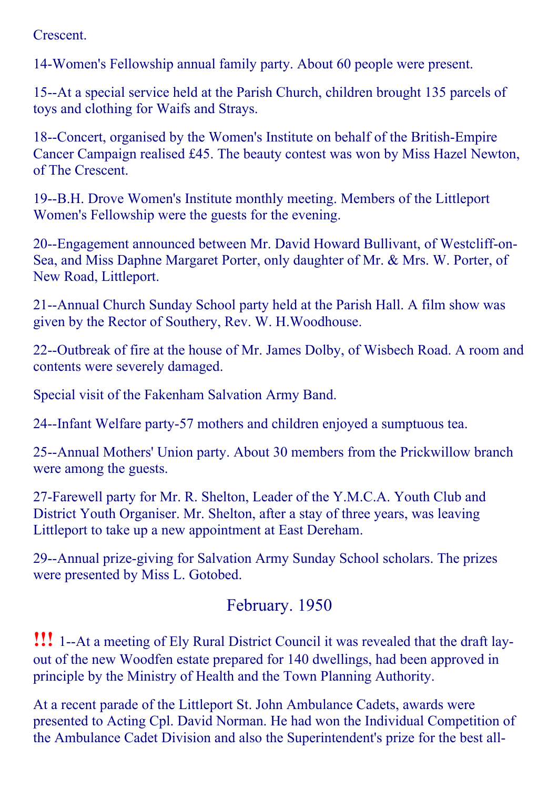Crescent.

14Women's Fellowship annual family party. About 60 people were present.

15--At a special service held at the Parish Church, children brought 135 parcels of toys and clothing for Waifs and Strays.

18--Concert, organised by the Women's Institute on behalf of the British-Empire Cancer Campaign realised £45. The beauty contest was won by Miss Hazel Newton, of The Crescent.

19--B.H. Drove Women's Institute monthly meeting. Members of the Littleport Women's Fellowship were the guests for the evening.

20--Engagement announced between Mr. David Howard Bullivant, of Westcliff-on-Sea, and Miss Daphne Margaret Porter, only daughter of Mr. & Mrs. W. Porter, of New Road, Littleport.

21--Annual Church Sunday School party held at the Parish Hall. A film show was given by the Rector of Southery, Rev. W. H.Woodhouse.

22--Outbreak of fire at the house of Mr. James Dolby, of Wisbech Road. A room and contents were severely damaged.

Special visit of the Fakenham Salvation Army Band.

24--Infant Welfare party-57 mothers and children enjoyed a sumptuous tea.

25--Annual Mothers' Union party. About 30 members from the Prickwillow branch were among the guests.

27Farewell party for Mr. R. Shelton, Leader of the Y.M.C.A. Youth Club and District Youth Organiser. Mr. Shelton, after a stay of three years, was leaving Littleport to take up a new appointment at East Dereham.

29--Annual prize-giving for Salvation Army Sunday School scholars. The prizes were presented by Miss L. Gotobed.

### February. 1950

!!! 1--At a meeting of Ely Rural District Council it was revealed that the draft layout of the new Woodfen estate prepared for 140 dwellings, had been approved in principle by the Ministry of Health and the Town Planning Authority.

At a recent parade of the Littleport St. John Ambulance Cadets, awards were presented to Acting Cpl. David Norman. He had won the Individual Competition of the Ambulance Cadet Division and also the Superintendent's prize for the best all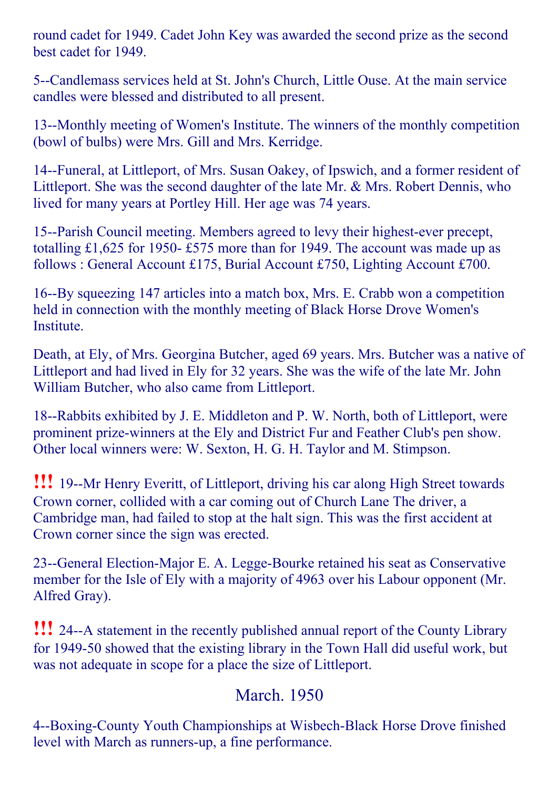round cadet for 1949. Cadet John Key was awarded the second prize as the second best cadet for 1949.

5--Candlemass services held at St. John's Church, Little Ouse. At the main service candles were blessed and distributed to all present.

13--Monthly meeting of Women's Institute. The winners of the monthly competition (bowl of bulbs) were Mrs. Gill and Mrs. Kerridge.

14--Funeral, at Littleport, of Mrs. Susan Oakey, of Ipswich, and a former resident of Littleport. She was the second daughter of the late Mr. & Mrs. Robert Dennis, who lived for many years at Portley Hill. Her age was 74 years.

15--Parish Council meeting. Members agreed to levy their highest-ever precept, totalling £1,625 for 1950- £575 more than for 1949. The account was made up as follows : General Account £175, Burial Account £750, Lighting Account £700.

16--By squeezing 147 articles into a match box, Mrs. E. Crabb won a competition held in connection with the monthly meeting of Black Horse Drove Women's Institute.

Death, at Ely, of Mrs. Georgina Butcher, aged 69 years. Mrs. Butcher was a native of Littleport and had lived in Ely for 32 years. She was the wife of the late Mr. John William Butcher, who also came from Littleport.

18--Rabbits exhibited by J. E. Middleton and P. W. North, both of Littleport, were prominent prize-winners at the Ely and District Fur and Feather Club's pen show. Other local winners were: W. Sexton, H. G. H. Taylor and M. Stimpson.

**!!!** 19--Mr Henry Everitt, of Littleport, driving his car along High Street towards Crown corner, collided with a car coming out of Church Lane The driver, a Cambridge man, had failed to stop at the halt sign. This was the first accident at Crown corner since the sign was erected.

23--General Election-Major E. A. Legge-Bourke retained his seat as Conservative member for the Isle of Ely with a majority of 4963 over his Labour opponent (Mr. Alfred Gray).

**!!!** 24--A statement in the recently published annual report of the County Library for 1949-50 showed that the existing library in the Town Hall did useful work, but was not adequate in scope for a place the size of Littleport.

### March. 1950

4--Boxing-County Youth Championships at Wisbech-Black Horse Drove finished level with March as runners-up, a fine performance.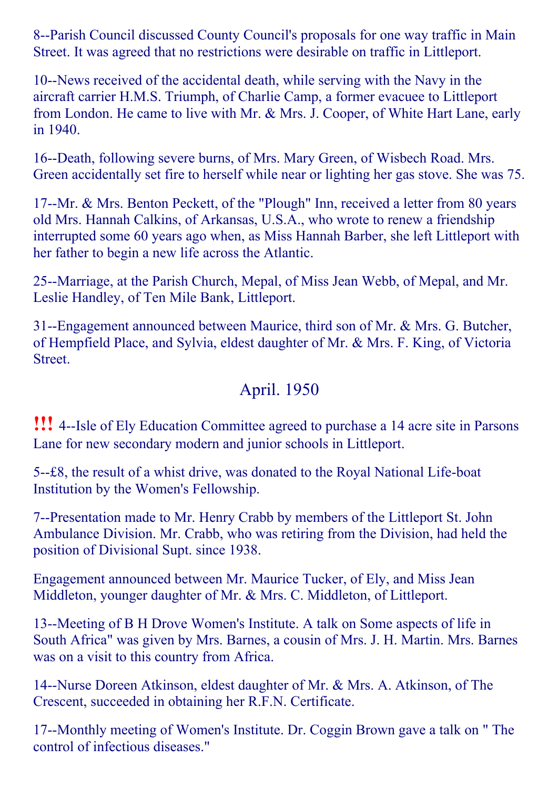8--Parish Council discussed County Council's proposals for one way traffic in Main Street. It was agreed that no restrictions were desirable on traffic in Littleport.

10--News received of the accidental death, while serving with the Navy in the aircraft carrier H.M.S. Triumph, of Charlie Camp, a former evacuee to Littleport from London. He came to live with Mr. & Mrs. J. Cooper, of White Hart Lane, early in 1940.

16--Death, following severe burns, of Mrs. Mary Green, of Wisbech Road. Mrs. Green accidentally set fire to herself while near or lighting her gas stove. She was 75.

17--Mr. & Mrs. Benton Peckett, of the "Plough" Inn, received a letter from 80 years old Mrs. Hannah Calkins, of Arkansas, U.S.A., who wrote to renew a friendship interrupted some 60 years ago when, as Miss Hannah Barber, she left Littleport with her father to begin a new life across the Atlantic.

25--Marriage, at the Parish Church, Mepal, of Miss Jean Webb, of Mepal, and Mr. Leslie Handley, of Ten Mile Bank, Littleport.

31--Engagement announced between Maurice, third son of Mr. & Mrs. G. Butcher, of Hempfield Place, and Sylvia, eldest daughter of Mr. & Mrs. F. King, of Victoria Street.

# April. 1950

**!!!** 4--Isle of Ely Education Committee agreed to purchase a 14 acre site in Parsons Lane for new secondary modern and junior schools in Littleport.

5- $\text{-} \pounds 8$ , the result of a whist drive, was donated to the Royal National Life-boat Institution by the Women's Fellowship.

7--Presentation made to Mr. Henry Crabb by members of the Littleport St. John Ambulance Division. Mr. Crabb, who was retiring from the Division, had held the position of Divisional Supt. since 1938.

Engagement announced between Mr. Maurice Tucker, of Ely, and Miss Jean Middleton, younger daughter of Mr. & Mrs. C. Middleton, of Littleport.

13--Meeting of B H Drove Women's Institute. A talk on Some aspects of life in South Africa" was given by Mrs. Barnes, a cousin of Mrs. J. H. Martin. Mrs. Barnes was on a visit to this country from Africa.

14--Nurse Doreen Atkinson, eldest daughter of Mr. & Mrs. A. Atkinson, of The Crescent, succeeded in obtaining her R.F.N. Certificate.

17--Monthly meeting of Women's Institute. Dr. Coggin Brown gave a talk on " The control of infectious diseases."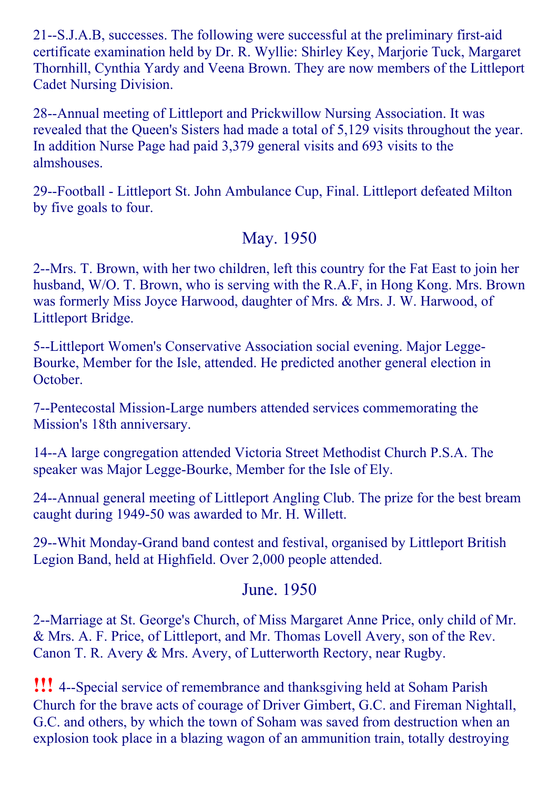21--S.J.A.B, successes. The following were successful at the preliminary first-aid certificate examination held by Dr. R. Wyllie: Shirley Key, Marjorie Tuck, Margaret Thornhill, Cynthia Yardy and Veena Brown. They are now members of the Littleport Cadet Nursing Division.

28--Annual meeting of Littleport and Prickwillow Nursing Association. It was revealed that the Queen's Sisters had made a total of 5,129 visits throughout the year. In addition Nurse Page had paid 3,379 general visits and 693 visits to the almshouses.

29--Football - Littleport St. John Ambulance Cup, Final. Littleport defeated Milton by five goals to four.

### May. 1950

2--Mrs. T. Brown, with her two children, left this country for the Fat East to join her husband, W/O. T. Brown, who is serving with the R.A.F, in Hong Kong. Mrs. Brown was formerly Miss Joyce Harwood, daughter of Mrs. & Mrs. J. W. Harwood, of Littleport Bridge.

5--Littleport Women's Conservative Association social evening. Major Legge-Bourke, Member for the Isle, attended. He predicted another general election in October.

7--Pentecostal Mission-Large numbers attended services commemorating the Mission's 18th anniversary.

14—A large congregation attended Victoria Street Methodist Church P.S.A. The speaker was Major Legge-Bourke, Member for the Isle of Ely.

24--Annual general meeting of Littleport Angling Club. The prize for the best bream caught during 1949-50 was awarded to Mr. H. Willett.

29--Whit Monday-Grand band contest and festival, organised by Littleport British Legion Band, held at Highfield. Over 2,000 people attended.

### June. 1950

2--Marriage at St. George's Church, of Miss Margaret Anne Price, only child of Mr. & Mrs. A. F. Price, of Littleport, and Mr. Thomas Lovell Avery, son of the Rev. Canon T. R. Avery & Mrs. Avery, of Lutterworth Rectory, near Rugby.

**!!!** 4--Special service of remembrance and thanksgiving held at Soham Parish Church for the brave acts of courage of Driver Gimbert, G.C. and Fireman Nightall, G.C. and others, by which the town of Soham was saved from destruction when an explosion took place in a blazing wagon of an ammunition train, totally destroying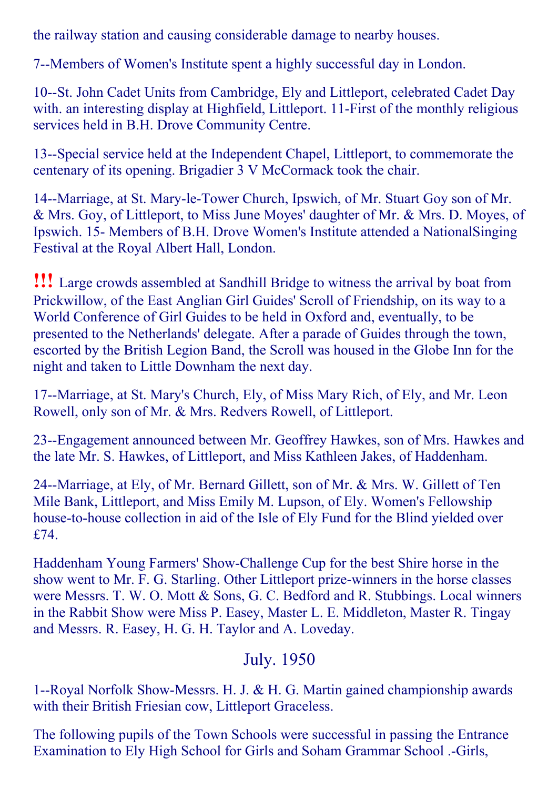the railway station and causing considerable damage to nearby houses.

7--Members of Women's Institute spent a highly successful day in London.

10--St. John Cadet Units from Cambridge, Ely and Littleport, celebrated Cadet Day with. an interesting display at Highfield, Littleport. 11-First of the monthly religious services held in B.H. Drove Community Centre.

13--Special service held at the Independent Chapel, Littleport, to commemorate the centenary of its opening. Brigadier 3 V McCormack took the chair.

14--Marriage, at St. Mary-le-Tower Church, Ipswich, of Mr. Stuart Goy son of Mr. & Mrs. Goy, of Littleport, to Miss June Moyes' daughter of Mr. & Mrs. D. Moyes, of Ipswich. 15 Members of B.H. Drove Women's Institute attended a NationalSinging Festival at the Royal Albert Hall, London.

!!! Large crowds assembled at Sandhill Bridge to witness the arrival by boat from Prickwillow, of the East Anglian Girl Guides' Scroll of Friendship, on its way to a World Conference of Girl Guides to be held in Oxford and, eventually, to be presented to the Netherlands' delegate. After a parade of Guides through the town, escorted by the British Legion Band, the Scroll was housed in the Globe Inn for the night and taken to Little Downham the next day.

17--Marriage, at St. Mary's Church, Ely, of Miss Mary Rich, of Ely, and Mr. Leon Rowell, only son of Mr. & Mrs. Redvers Rowell, of Littleport.

23--Engagement announced between Mr. Geoffrey Hawkes, son of Mrs. Hawkes and the late Mr. S. Hawkes, of Littleport, and Miss Kathleen Jakes, of Haddenham.

24--Marriage, at Ely, of Mr. Bernard Gillett, son of Mr. & Mrs. W. Gillett of Ten Mile Bank, Littleport, and Miss Emily M. Lupson, of Ely. Women's Fellowship house-to-house collection in aid of the Isle of Ely Fund for the Blind yielded over £74.

Haddenham Young Farmers' ShowChallenge Cup for the best Shire horse in the show went to Mr. F. G. Starling. Other Littleport prize-winners in the horse classes were Messrs. T. W. O. Mott & Sons, G. C. Bedford and R. Stubbings. Local winners in the Rabbit Show were Miss P. Easey, Master L. E. Middleton, Master R. Tingay and Messrs. R. Easey, H. G. H. Taylor and A. Loveday.

#### July. 1950

1--Royal Norfolk Show-Messrs. H. J. & H. G. Martin gained championship awards with their British Friesian cow, Littleport Graceless.

The following pupils of the Town Schools were successful in passing the Entrance Examination to Ely High School for Girls and Soham Grammar School .-Girls,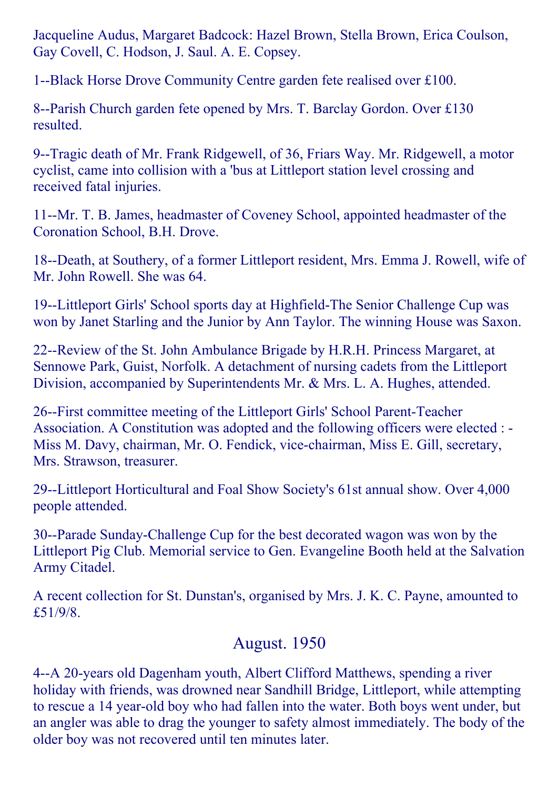Jacqueline Audus, Margaret Badcock: Hazel Brown, Stella Brown, Erica Coulson, Gay Covell, C. Hodson, J. Saul. A. E. Copsey.

1--Black Horse Drove Community Centre garden fete realised over £100.

8--Parish Church garden fete opened by Mrs. T. Barclay Gordon. Over £130 resulted.

9--Tragic death of Mr. Frank Ridgewell, of 36, Friars Way. Mr. Ridgewell, a motor cyclist, came into collision with a 'bus at Littleport station level crossing and received fatal injuries.

11--Mr. T. B. James, headmaster of Coveney School, appointed headmaster of the Coronation School, B.H. Drove.

18--Death, at Southery, of a former Littleport resident, Mrs. Emma J. Rowell, wife of Mr. John Rowell. She was 64.

19--Littleport Girls' School sports day at Highfield-The Senior Challenge Cup was won by Janet Starling and the Junior by Ann Taylor. The winning House was Saxon.

22--Review of the St. John Ambulance Brigade by H.R.H. Princess Margaret, at Sennowe Park, Guist, Norfolk. A detachment of nursing cadets from the Littleport Division, accompanied by Superintendents Mr. & Mrs. L. A. Hughes, attended.

26-First committee meeting of the Littleport Girls' School Parent-Teacher Association. A Constitution was adopted and the following officers were elected : Miss M. Davy, chairman, Mr. O. Fendick, vice-chairman, Miss E. Gill, secretary, Mrs. Strawson, treasurer.

29--Littleport Horticultural and Foal Show Society's 61st annual show. Over 4,000 people attended.

30--Parade Sunday-Challenge Cup for the best decorated wagon was won by the Littleport Pig Club. Memorial service to Gen. Evangeline Booth held at the Salvation Army Citadel.

A recent collection for St. Dunstan's, organised by Mrs. J. K. C. Payne, amounted to £51/9/8.

# August. 1950

4--A 20-years old Dagenham youth, Albert Clifford Matthews, spending a river holiday with friends, was drowned near Sandhill Bridge, Littleport, while attempting to rescue a 14 year-old boy who had fallen into the water. Both boys went under, but an angler was able to drag the younger to safety almost immediately. The body of the older boy was not recovered until ten minutes later.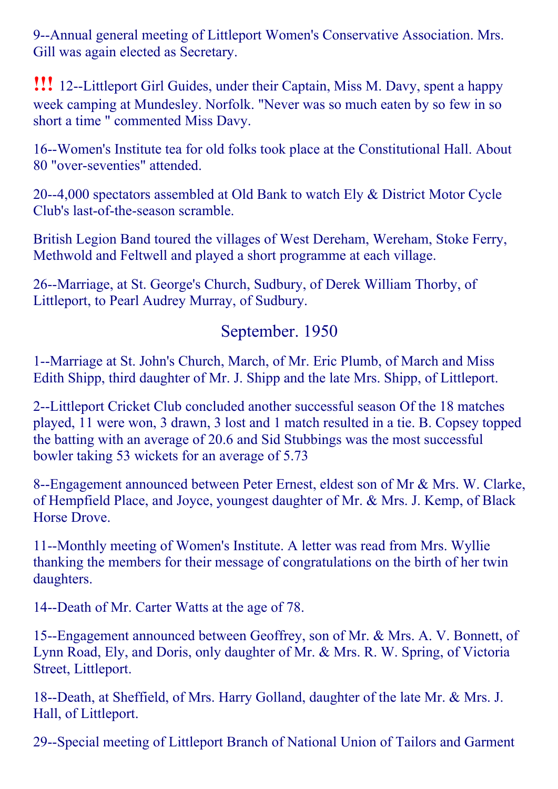9--Annual general meeting of Littleport Women's Conservative Association. Mrs. Gill was again elected as Secretary.

**!!!** 12--Littleport Girl Guides, under their Captain, Miss M. Davy, spent a happy week camping at Mundesley. Norfolk. "Never was so much eaten by so few in so short a time " commented Miss Davy.

16--Women's Institute tea for old folks took place at the Constitutional Hall. About 80 "over-seventies" attended.

20--4,000 spectators assembled at Old Bank to watch Ely & District Motor Cycle Club's last-of-the-season scramble.

British Legion Band toured the villages of West Dereham, Wereham, Stoke Ferry, Methwold and Feltwell and played a short programme at each village.

26--Marriage, at St. George's Church, Sudbury, of Derek William Thorby, of Littleport, to Pearl Audrey Murray, of Sudbury.

#### September. 1950

1--Marriage at St. John's Church, March, of Mr. Eric Plumb, of March and Miss Edith Shipp, third daughter of Mr. J. Shipp and the late Mrs. Shipp, of Littleport.

2--Littleport Cricket Club concluded another successful season Of the 18 matches played, 11 were won, 3 drawn, 3 lost and 1 match resulted in a tie. B. Copsey topped the batting with an average of 20.6 and Sid Stubbings was the most successful bowler taking 53 wickets for an average of 5.73

8--Engagement announced between Peter Ernest, eldest son of Mr & Mrs. W. Clarke, of Hempfield Place, and Joyce, youngest daughter of Mr. & Mrs. J. Kemp, of Black Horse Drove.

11--Monthly meeting of Women's Institute. A letter was read from Mrs. Wyllie thanking the members for their message of congratulations on the birth of her twin daughters.

14--Death of Mr. Carter Watts at the age of 78.

15--Engagement announced between Geoffrey, son of Mr. & Mrs. A. V. Bonnett, of Lynn Road, Ely, and Doris, only daughter of Mr. & Mrs. R. W. Spring, of Victoria Street, Littleport.

18--Death, at Sheffield, of Mrs. Harry Golland, daughter of the late Mr. & Mrs. J. Hall, of Littleport.

29--Special meeting of Littleport Branch of National Union of Tailors and Garment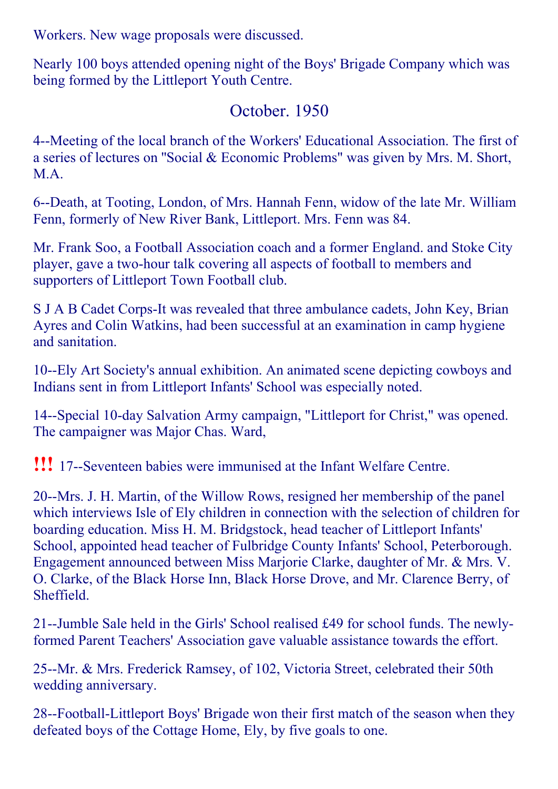Workers. New wage proposals were discussed.

Nearly 100 boys attended opening night of the Boys' Brigade Company which was being formed by the Littleport Youth Centre.

### October. 1950

4--Meeting of the local branch of the Workers' Educational Association. The first of a series of lectures on ''Social & Economic Problems" was given by Mrs. M. Short, MA<sup>.</sup>

6--Death, at Tooting, London, of Mrs. Hannah Fenn, widow of the late Mr. William Fenn, formerly of New River Bank, Littleport. Mrs. Fenn was 84.

Mr. Frank Soo, a Football Association coach and a former England. and Stoke City player, gave a two-hour talk covering all aspects of football to members and supporters of Littleport Town Football club.

S J A B Cadet Corps-It was revealed that three ambulance cadets, John Key, Brian Ayres and Colin Watkins, had been successful at an examination in camp hygiene and sanitation.

10--Ely Art Society's annual exhibition. An animated scene depicting cowboys and Indians sent in from Littleport Infants' School was especially noted.

14--Special 10-day Salvation Army campaign, "Littleport for Christ," was opened. The campaigner was Major Chas. Ward,

**!!!** 17--Seventeen babies were immunised at the Infant Welfare Centre.

20--Mrs. J. H. Martin, of the Willow Rows, resigned her membership of the panel which interviews Isle of Ely children in connection with the selection of children for boarding education. Miss H. M. Bridgstock, head teacher of Littleport Infants' School, appointed head teacher of Fulbridge County Infants' School, Peterborough. Engagement announced between Miss Marjorie Clarke, daughter of Mr. & Mrs. V. O. Clarke, of the Black Horse Inn, Black Horse Drove, and Mr. Clarence Berry, of Sheffield.

21--Jumble Sale held in the Girls' School realised £49 for school funds. The newlyformed Parent Teachers' Association gave valuable assistance towards the effort.

25--Mr. & Mrs. Frederick Ramsey, of 102, Victoria Street, celebrated their 50th wedding anniversary.

28-Football-Littleport Boys' Brigade won their first match of the season when they defeated boys of the Cottage Home, Ely, by five goals to one.